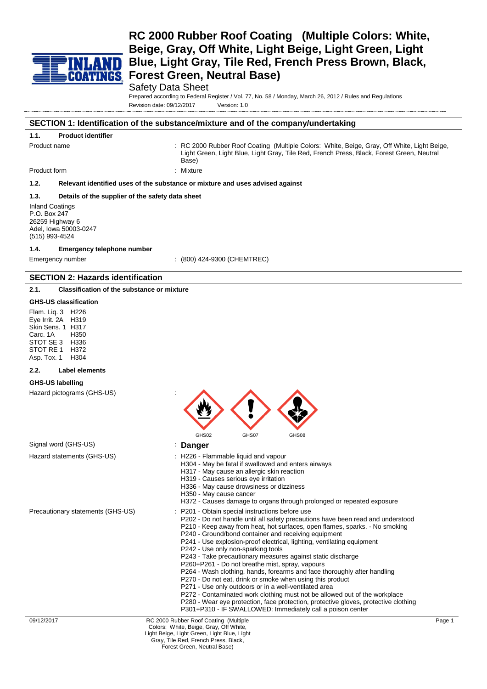

### Safety Data Sheet

Prepared according to Federal Register / Vol. 77, No. 58 / Monday, March 26, 2012 / Rules and Regulations Revision date: 09/12/2017 Version: 1.0

#### **SECTION 1: Identification of the substance/mixture and of the company/undertaking**

| <b>Product identifier</b><br>1.1. |  |
|-----------------------------------|--|
|-----------------------------------|--|

Product name The State of Read of Coating (Multiple Colors: White, Beige, Gray, Off White, Light Beige, Light Green, Light Blue, Light Gray, Tile Red, French Press, Black, Forest Green, Neutral Base)

Product form : Nixture

### **1.2. Relevant identified uses of the substance or mixture and uses advised against**

### **1.3. Details of the supplier of the safety data sheet**

Inland Coatings P.O. Box 247 26259 Highway 6 Adel, Iowa 50003-0247 (515) 993-4524

#### **1.4. Emergency telephone number**

Emergency number : (800) 424-9300 (CHEMTREC)

#### **SECTION 2: Hazards identification**

**2.1. Classification of the substance or mixture**

#### **GHS-US classification**

Flam. Liq. 3 H226 Eye Irrit. 2A H319 Skin Sens. 1 H317<br>Carc. 1A H350 Carc. 1A STOT SE 3 H336 STOT RE 1 H372 Asp. Tox. 1 H304

#### **2.2. Label elements**

#### **GHS-US labelling**

Hazard pictograms (GHS-US) :

|                                   | <u>27</u>                                                                                                                                                                                                                                                                                                                                                                                                                                                                                                                                                                                                                                                                                                                                                                                                                                                                                                                                      |        |
|-----------------------------------|------------------------------------------------------------------------------------------------------------------------------------------------------------------------------------------------------------------------------------------------------------------------------------------------------------------------------------------------------------------------------------------------------------------------------------------------------------------------------------------------------------------------------------------------------------------------------------------------------------------------------------------------------------------------------------------------------------------------------------------------------------------------------------------------------------------------------------------------------------------------------------------------------------------------------------------------|--------|
|                                   | GHS02<br>GHS07<br>GHS08                                                                                                                                                                                                                                                                                                                                                                                                                                                                                                                                                                                                                                                                                                                                                                                                                                                                                                                        |        |
| Signal word (GHS-US)              | <b>Danger</b>                                                                                                                                                                                                                                                                                                                                                                                                                                                                                                                                                                                                                                                                                                                                                                                                                                                                                                                                  |        |
| Hazard statements (GHS-US)        | : H226 - Flammable liquid and vapour<br>H304 - May be fatal if swallowed and enters airways<br>H317 - May cause an allergic skin reaction<br>H319 - Causes serious eye irritation<br>H336 - May cause drowsiness or dizziness<br>H350 - May cause cancer<br>H372 - Causes damage to organs through prolonged or repeated exposure                                                                                                                                                                                                                                                                                                                                                                                                                                                                                                                                                                                                              |        |
| Precautionary statements (GHS-US) | P201 - Obtain special instructions before use<br>P202 - Do not handle until all safety precautions have been read and understood<br>P210 - Keep away from heat, hot surfaces, open flames, sparks. - No smoking<br>P240 - Ground/bond container and receiving equipment<br>P241 - Use explosion-proof electrical, lighting, ventilating equipment<br>P242 - Use only non-sparking tools<br>P243 - Take precautionary measures against static discharge<br>P260+P261 - Do not breathe mist, spray, vapours<br>P264 - Wash clothing, hands, forearms and face thoroughly after handling<br>P270 - Do not eat, drink or smoke when using this product<br>P271 - Use only outdoors or in a well-ventilated area<br>P272 - Contaminated work clothing must not be allowed out of the workplace<br>P280 - Wear eye protection, face protection, protective gloves, protective clothing<br>P301+P310 - IF SWALLOWED: Immediately call a poison center |        |
| 09/12/2017                        | RC 2000 Rubber Roof Coating (Multiple<br>Colors: White, Beige, Gray, Off White,<br>Light Beige, Light Green, Light Blue, Light<br>Gray, Tile Red, French Press, Black,                                                                                                                                                                                                                                                                                                                                                                                                                                                                                                                                                                                                                                                                                                                                                                         | Page 1 |

 $\Lambda$   $\Lambda$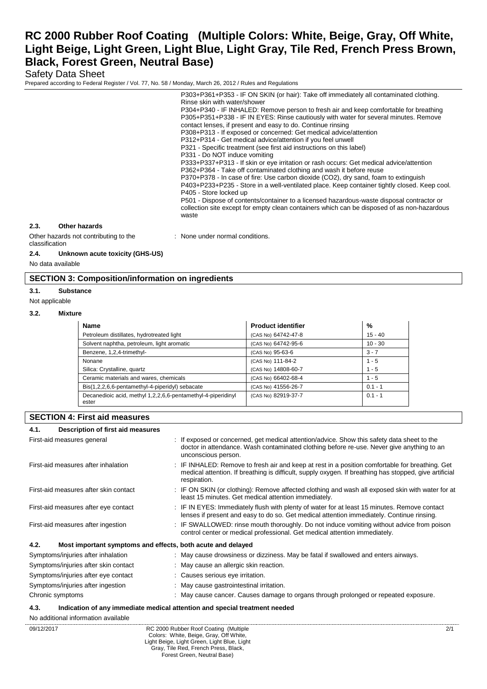## Safety Data Sheet

Prepared according to Federal Register / Vol. 77, No. 58 / Monday, March 26, 2012 / Rules and Regulations

|                                                          | P303+P361+P353 - IF ON SKIN (or hair): Take off immediately all contaminated clothing.                                                                                                   |
|----------------------------------------------------------|------------------------------------------------------------------------------------------------------------------------------------------------------------------------------------------|
|                                                          | Rinse skin with water/shower                                                                                                                                                             |
|                                                          | P304+P340 - IF INHALED: Remove person to fresh air and keep comfortable for breathing                                                                                                    |
|                                                          | P305+P351+P338 - IF IN EYES: Rinse cautiously with water for several minutes. Remove                                                                                                     |
|                                                          | contact lenses, if present and easy to do. Continue rinsing                                                                                                                              |
|                                                          | P308+P313 - If exposed or concerned: Get medical advice/attention                                                                                                                        |
|                                                          | P312+P314 - Get medical advice/attention if you feel unwell                                                                                                                              |
|                                                          | P321 - Specific treatment (see first aid instructions on this label)                                                                                                                     |
|                                                          | P331 - Do NOT induce vomiting                                                                                                                                                            |
|                                                          | P333+P337+P313 - If skin or eye irritation or rash occurs: Get medical advice/attention                                                                                                  |
|                                                          | P362+P364 - Take off contaminated clothing and wash it before reuse                                                                                                                      |
|                                                          | P370+P378 - In case of fire: Use carbon dioxide (CO2), dry sand, foam to extinguish                                                                                                      |
|                                                          | P403+P233+P235 - Store in a well-ventilated place. Keep container tightly closed. Keep cool.                                                                                             |
|                                                          | P405 - Store locked up                                                                                                                                                                   |
|                                                          | P501 - Dispose of contents/container to a licensed hazardous-waste disposal contractor or<br>collection site except for empty clean containers which can be disposed of as non-hazardous |
|                                                          | waste                                                                                                                                                                                    |
|                                                          |                                                                                                                                                                                          |
| 2.3.<br>Other hazards                                    |                                                                                                                                                                                          |
| Other hazards not contributing to the<br>classification  | : None under normal conditions.                                                                                                                                                          |
| 2.4.<br>Unknown acute toxicity (GHS-US)                  |                                                                                                                                                                                          |
| No data available                                        |                                                                                                                                                                                          |
|                                                          |                                                                                                                                                                                          |
| <b>SECTION 3: Composition/information on ingredients</b> |                                                                                                                                                                                          |

## **3.1. Substance**

#### Not applicable

#### **3.2. Mixture**

| <b>Name</b>                                                           | <b>Product identifier</b> | %         |  |
|-----------------------------------------------------------------------|---------------------------|-----------|--|
| Petroleum distillates, hydrotreated light                             | (CAS No) 64742-47-8       | $15 - 40$ |  |
| Solvent naphtha, petroleum, light aromatic                            | (CAS No) 64742-95-6       | $10 - 30$ |  |
| Benzene, 1,2,4-trimethyl-                                             | (CAS No) 95-63-6          | $3 - 7$   |  |
| Nonane                                                                | (CAS No) 111-84-2         | $1 - 5$   |  |
| Silica: Crystalline, quartz                                           | (CAS No) 14808-60-7       | $1 - 5$   |  |
| Ceramic materials and wares, chemicals                                | (CAS No) 66402-68-4       | $1 - 5$   |  |
| Bis(1,2,2,6,6-pentamethyl-4-piperidyl) sebacate                       | (CAS No) 41556-26-7       | $0.1 - 1$ |  |
| Decanedioic acid, methyl 1,2,2,6,6-pentamethyl-4-piperidinyl<br>ester | (CAS No) 82919-37-7       | $0.1 - 1$ |  |

### **SECTION 4: First aid measures**

### **4.1. Description of first aid measures**

| First-aid measures general                                          | : If exposed or concerned, get medical attention/advice. Show this safety data sheet to the<br>doctor in attendance. Wash contaminated clothing before re-use. Never give anything to an<br>unconscious person.           |
|---------------------------------------------------------------------|---------------------------------------------------------------------------------------------------------------------------------------------------------------------------------------------------------------------------|
| First-aid measures after inhalation                                 | : IF INHALED: Remove to fresh air and keep at rest in a position comfortable for breathing. Get<br>medical attention. If breathing is difficult, supply oxygen. If breathing has stopped, give artificial<br>respiration. |
| First-aid measures after skin contact                               | : IF ON SKIN (or clothing): Remove affected clothing and wash all exposed skin with water for at<br>least 15 minutes. Get medical attention immediately.                                                                  |
| First-aid measures after eye contact                                | : IF IN EYES: Immediately flush with plenty of water for at least 15 minutes. Remove contact<br>lenses if present and easy to do so. Get medical attention immediately. Continue rinsing.                                 |
| First-aid measures after ingestion                                  | : IF SWALLOWED: rinse mouth thoroughly. Do not induce vomiting without advice from poison<br>control center or medical professional. Get medical attention immediately.                                                   |
| 4.2.<br>Most important symptoms and effects, both acute and delayed |                                                                                                                                                                                                                           |
| Symptoms/injuries after inhalation                                  | : May cause drowsiness or dizziness. May be fatal if swallowed and enters airways.                                                                                                                                        |
| Symptoms/injuries after skin contact                                | : May cause an allergic skin reaction.                                                                                                                                                                                    |
| Symptoms/injuries after eye contact                                 | : Causes serious eye irritation.                                                                                                                                                                                          |
| Symptoms/injuries after ingestion                                   | : May cause gastrointestinal irritation.                                                                                                                                                                                  |
| Chronic symptoms                                                    | : May cause cancer. Causes damage to organs through prolonged or repeated exposure.                                                                                                                                       |

#### **4.3. Indication of any immediate medical attention and special treatment needed**

09/12/2017 RC 2000 Rubber Roof Coating (Multiple Colors: White, Beige, Gray, Off White, Light Beige, Light Green, Light Blue, Light Gray, Tile Red, French Press, Black, Forest Green, Neutral Base) 2/1 No additional information available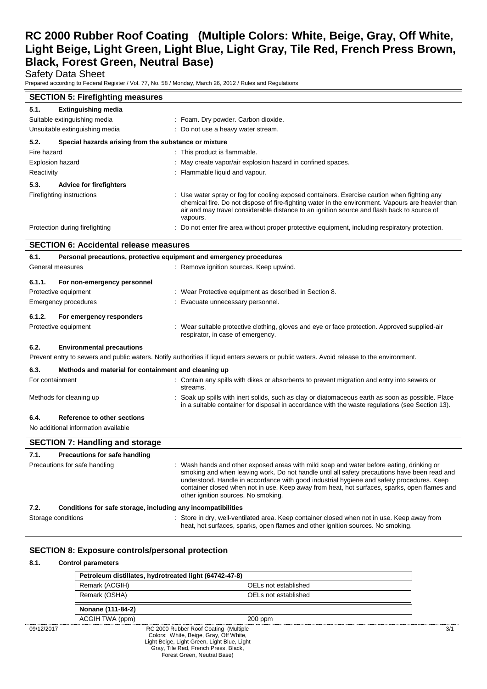Safety Data Sheet

Prepared according to Federal Register / Vol. 77, No. 58 / Monday, March 26, 2012 / Rules and Regulations

| <b>SECTION 5: Firefighting measures</b>                       |                                                                                                                                                                                                                                                                                                            |  |
|---------------------------------------------------------------|------------------------------------------------------------------------------------------------------------------------------------------------------------------------------------------------------------------------------------------------------------------------------------------------------------|--|
| <b>Extinguishing media</b><br>5.1.                            |                                                                                                                                                                                                                                                                                                            |  |
| Suitable extinguishing media                                  | : Foam. Dry powder. Carbon dioxide.                                                                                                                                                                                                                                                                        |  |
| Unsuitable extinguishing media                                | : Do not use a heavy water stream.                                                                                                                                                                                                                                                                         |  |
| Special hazards arising from the substance or mixture<br>5.2. |                                                                                                                                                                                                                                                                                                            |  |
| Fire hazard                                                   | : This product is flammable.                                                                                                                                                                                                                                                                               |  |
| <b>Explosion hazard</b>                                       | : May create vapor/air explosion hazard in confined spaces.                                                                                                                                                                                                                                                |  |
| Reactivity                                                    | Flammable liquid and vapour.                                                                                                                                                                                                                                                                               |  |
| 5.3.<br><b>Advice for firefighters</b>                        |                                                                                                                                                                                                                                                                                                            |  |
| Firefighting instructions                                     | : Use water spray or fog for cooling exposed containers. Exercise caution when fighting any<br>chemical fire. Do not dispose of fire-fighting water in the environment. Vapours are heavier than<br>air and may travel considerable distance to an ignition source and flash back to source of<br>vapours. |  |
| Protection during firefighting                                | : Do not enter fire area without proper protective equipment, including respiratory protection.                                                                                                                                                                                                            |  |

# **SECTION 6: Accidental release measures 6.1. Personal precautions, protective equipment and emergency procedures** General measures **in the state of the Contract Contract Contract Contract Contract Contract Contract Contract Contract Contract Contract Contract Contract Contract Contract Contract Contract Contract Contract Contract Cont 6.1.1. For non-emergency personnel** Protective equipment : Wear Protective equipment as described in Section 8. Emergency procedures : Evacuate unnecessary personnel. **6.1.2. For emergency responders** Protective equipment **interval of the suitable protective clothing**, gloves and eye or face protection. Approved supplied-air respirator, in case of emergency. **6.2. Environmental precautions** Prevent entry to sewers and public waters. Notify authorities if liquid enters sewers or public waters. Avoid release to the environment. **6.3. Methods and material for containment and cleaning up** For containment : Contain any spills with dikes or absorbents to prevent migration and entry into sewers or streams. Methods for cleaning up example of the spills with inert solids, such as clay or diatomaceous earth as soon as possible. Place in a suitable container for disposal in accordance with the waste regulations (see Section 13). **6.4. Reference to other sections** No additional information available

|                               | <b>SECTION 7: Handling and storage</b>                       |                                                                                                                                                                                                                                                                                                                                                                                                                              |  |
|-------------------------------|--------------------------------------------------------------|------------------------------------------------------------------------------------------------------------------------------------------------------------------------------------------------------------------------------------------------------------------------------------------------------------------------------------------------------------------------------------------------------------------------------|--|
| 7.1.                          | Precautions for safe handling                                |                                                                                                                                                                                                                                                                                                                                                                                                                              |  |
| Precautions for safe handling |                                                              | : Wash hands and other exposed areas with mild soap and water before eating, drinking or<br>smoking and when leaving work. Do not handle until all safety precautions have been read and<br>understood. Handle in accordance with good industrial hygiene and safety procedures. Keep<br>container closed when not in use. Keep away from heat, hot surfaces, sparks, open flames and<br>other ignition sources. No smoking. |  |
| 7.2.                          | Conditions for safe storage, including any incompatibilities |                                                                                                                                                                                                                                                                                                                                                                                                                              |  |
| Storage conditions            |                                                              | : Store in dry, well-ventilated area. Keep container closed when not in use. Keep away from<br>heat, hot surfaces, sparks, open flames and other ignition sources. No smoking.                                                                                                                                                                                                                                               |  |

### **SECTION 8: Exposure controls/personal protection**

### **8.1. Control parameters**

|            | Petroleum distillates, hydrotreated light (64742-47-8)                                                                         |                      |
|------------|--------------------------------------------------------------------------------------------------------------------------------|----------------------|
|            | Remark (ACGIH)                                                                                                                 | OELs not established |
|            | Remark (OSHA)                                                                                                                  | OELs not established |
|            | Nonane (111-84-2)                                                                                                              |                      |
|            | ACGIH TWA (ppm)                                                                                                                | $200$ ppm            |
| 09/12/2017 | RC 2000 Rubber Roof Coating (Multiple<br>Colors: White, Beige, Gray, Off White,<br>Light Beige, Light Green, Light Blue, Light |                      |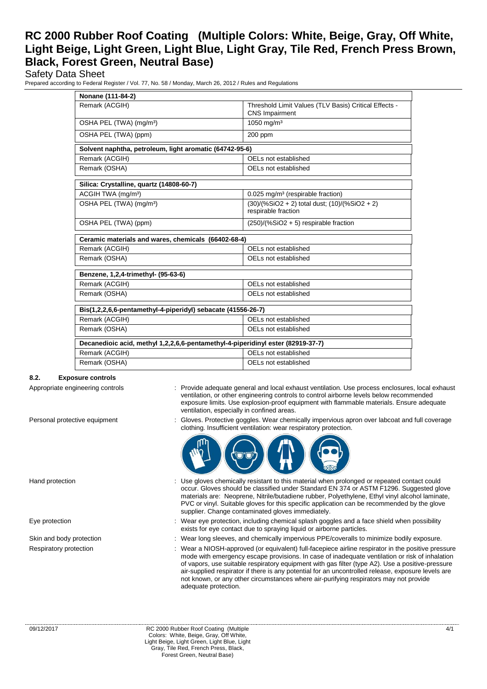## Safety Data Sheet

Prepared according to Federal Register / Vol. 77, No. 58 / Monday, March 26, 2012 / Rules and Regulations

| Nonane (111-84-2)                                                               |                                                                                |  |
|---------------------------------------------------------------------------------|--------------------------------------------------------------------------------|--|
| Remark (ACGIH)                                                                  | Threshold Limit Values (TLV Basis) Critical Effects -<br><b>CNS Impairment</b> |  |
| OSHA PEL (TWA) (mg/m <sup>3</sup> )                                             | 1050 mg/m <sup>3</sup>                                                         |  |
| OSHA PEL (TWA) (ppm)                                                            | 200 ppm                                                                        |  |
| Solvent naphtha, petroleum, light aromatic (64742-95-6)                         |                                                                                |  |
| Remark (ACGIH)                                                                  | OELs not established                                                           |  |
| Remark (OSHA)                                                                   | OELs not established                                                           |  |
| Silica: Crystalline, quartz (14808-60-7)                                        |                                                                                |  |
| ACGIH TWA (mg/m <sup>3</sup> )                                                  | 0.025 mg/m <sup>3</sup> (respirable fraction)                                  |  |
| OSHA PEL (TWA) (mg/m <sup>3</sup> )                                             | $(30)/(%SiO2 + 2)$ total dust; $(10)/(%SiO2 + 2)$<br>respirable fraction       |  |
| OSHA PEL (TWA) (ppm)                                                            | $(250)/(%SiO2 + 5)$ respirable fraction                                        |  |
| Ceramic materials and wares, chemicals (66402-68-4)                             |                                                                                |  |
|                                                                                 |                                                                                |  |
| Remark (ACGIH)                                                                  | OELs not established                                                           |  |
| Remark (OSHA)                                                                   | OELs not established                                                           |  |
| Benzene, 1,2,4-trimethyl- (95-63-6)                                             |                                                                                |  |
| Remark (ACGIH)                                                                  | OELs not established                                                           |  |
| Remark (OSHA)                                                                   | OELs not established                                                           |  |
| Bis(1,2,2,6,6-pentamethyl-4-piperidyl) sebacate (41556-26-7)                    |                                                                                |  |
| Remark (ACGIH)                                                                  | OELs not established                                                           |  |
| Remark (OSHA)                                                                   | OELs not established                                                           |  |
| Decanedioic acid, methyl 1,2,2,6,6-pentamethyl-4-piperidinyl ester (82919-37-7) |                                                                                |  |
| Remark (ACGIH)                                                                  | OELs not established                                                           |  |

#### **8.2. Exposure controls**

- Appropriate engineering controls : Provide adequate general and local exhaust ventilation. Use process enclosures, local exhaust ventilation, or other engineering controls to control airborne levels below recommended exposure limits. Use explosion-proof equipment with flammable materials. Ensure adequate ventilation, especially in confined areas.
- Personal protective equipment : Gloves. Protective goggles. Wear chemically impervious apron over labcoat and full coverage clothing. Insufficient ventilation: wear respiratory protection.



- Hand protection **interest of the contact could** : Use gloves chemically resistant to this material when prolonged or repeated contact could occur. Gloves should be classified under Standard EN 374 or ASTM F1296. Suggested glove materials are: Neoprene, Nitrile/butadiene rubber, Polyethylene, Ethyl vinyl alcohol laminate, PVC or vinyl. Suitable gloves for this specific application can be recommended by the glove supplier. Change contaminated gloves immediately.
- Eye protection **including the state of the system** of the Wear eye protection, including chemical splash goggles and a face shield when possibility exists for eye contact due to spraying liquid or airborne particles.
- Skin and body protection : Wear long sleeves, and chemically impervious PPE/coveralls to minimize bodily exposure.
- Respiratory protection : Wear a NIOSH-approved (or equivalent) full-facepiece airline respirator in the positive pressure mode with emergency escape provisions. In case of inadequate ventilation or risk of inhalation of vapors, use suitable respiratory equipment with gas filter (type A2). Use a positive-pressure air-supplied respirator if there is any potential for an uncontrolled release, exposure levels are not known, or any other circumstances where air-purifying respirators may not provide adequate protection.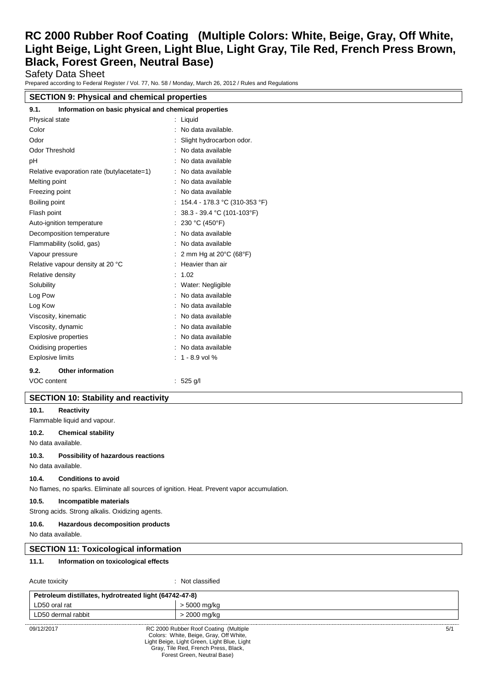Safety Data Sheet

Prepared according to Federal Register / Vol. 77, No. 58 / Monday, March 26, 2012 / Rules and Regulations

# **SECTION 9: Physical and chemical properties**

| Information on basic physical and chemical properties<br>9.1. |                                  |  |
|---------------------------------------------------------------|----------------------------------|--|
| Physical state                                                | $:$ Liquid                       |  |
| Color                                                         | No data available.               |  |
| Odor                                                          | Slight hydrocarbon odor.         |  |
| <b>Odor Threshold</b>                                         | No data available                |  |
| pH                                                            | No data available                |  |
| Relative evaporation rate (butylacetate=1)                    | No data available                |  |
| Melting point                                                 | No data available                |  |
| Freezing point                                                | No data available<br>٠           |  |
| Boiling point                                                 | : 154.4 - 178.3 °C (310-353 °F)  |  |
| Flash point                                                   | 38.3 - 39.4 °C (101-103°F)       |  |
| Auto-ignition temperature                                     | 230 °C (450°F)                   |  |
| Decomposition temperature                                     | No data available<br>۰           |  |
| Flammability (solid, gas)                                     | No data available                |  |
| Vapour pressure                                               | 2 mm Hg at 20°C (68°F)           |  |
| Relative vapour density at 20 °C                              | Heavier than air                 |  |
| Relative density                                              | 1.02<br>$\overline{\phantom{a}}$ |  |
| Solubility                                                    | Water: Negligible                |  |
| Log Pow                                                       | No data available                |  |
| Log Kow                                                       | No data available                |  |
| Viscosity, kinematic                                          | No data available                |  |
| Viscosity, dynamic                                            | No data available                |  |
| <b>Explosive properties</b>                                   | No data available                |  |
| Oxidising properties                                          | No data available                |  |
| <b>Explosive limits</b>                                       | $: 1 - 8.9$ vol %                |  |
| <b>Other information</b><br>9.2.                              |                                  |  |
| <b>VOC content</b>                                            | : $525$ g/l                      |  |

## **SECTION 10: Stability and reactivity**

#### **10.1. Reactivity**

Flammable liquid and vapour.

#### **10.2. Chemical stability**

No data available.

#### **10.3. Possibility of hazardous reactions**

No data available.

### **10.4. Conditions to avoid**

No flames, no sparks. Eliminate all sources of ignition. Heat. Prevent vapor accumulation.

#### **10.5. Incompatible materials**

Strong acids. Strong alkalis. Oxidizing agents.

#### **10.6. Hazardous decomposition products**

No data available.

## **SECTION 11: Toxicological information**

### **11.1. Information on toxicological effects**

Acute toxicity : Not classified

| Petroleum distillates, hydrotreated light (64742-47-8) |  |                                       |     |
|--------------------------------------------------------|--|---------------------------------------|-----|
| LD50 oral rat                                          |  | > 5000 mg/kg                          |     |
| LD50 dermal rabbit                                     |  | > 2000 mg/kg                          |     |
| 09/12/2017                                             |  | RC 2000 Rubber Roof Coating (Multiple | 5/1 |

Colors: White, Beige, Gray, Off White, Light Beige, Light Green, Light Blue, Light Gray, Tile Red, French Press, Black, Forest Green, Neutral Base)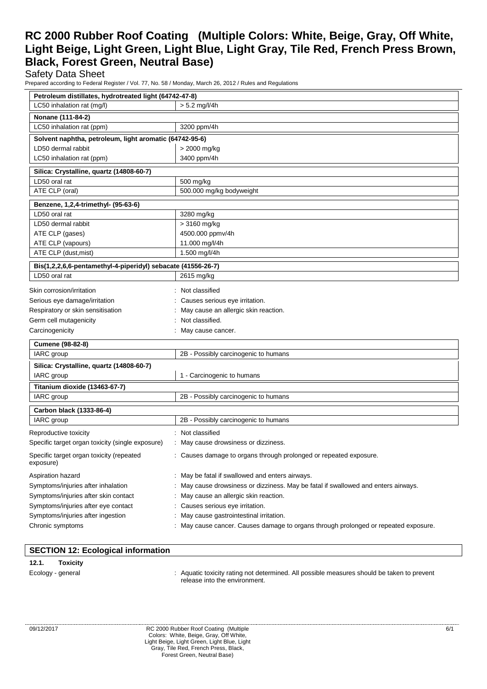Safety Data Sheet

Prepared according to Federal Register / Vol. 77, No. 58 / Monday, March 26, 2012 / Rules and Regulations

| Petroleum distillates, hydrotreated light (64742-47-8)       |                                                                                   |  |  |
|--------------------------------------------------------------|-----------------------------------------------------------------------------------|--|--|
| LC50 inhalation rat (mg/l)<br>$> 5.2$ mg/l/4h                |                                                                                   |  |  |
| Nonane (111-84-2)                                            |                                                                                   |  |  |
| LC50 inhalation rat (ppm)                                    | 3200 ppm/4h                                                                       |  |  |
| Solvent naphtha, petroleum, light aromatic (64742-95-6)      |                                                                                   |  |  |
| LD50 dermal rabbit                                           | > 2000 mg/kg                                                                      |  |  |
| LC50 inhalation rat (ppm)                                    | 3400 ppm/4h                                                                       |  |  |
| Silica: Crystalline, quartz (14808-60-7)                     |                                                                                   |  |  |
| LD50 oral rat                                                | 500 mg/kg                                                                         |  |  |
| ATE CLP (oral)                                               | 500.000 mg/kg bodyweight                                                          |  |  |
| Benzene, 1,2,4-trimethyl- (95-63-6)                          |                                                                                   |  |  |
| LD50 oral rat                                                | 3280 mg/kg                                                                        |  |  |
| LD50 dermal rabbit                                           | > 3160 mg/kg                                                                      |  |  |
| ATE CLP (gases)                                              | 4500.000 ppmv/4h                                                                  |  |  |
| ATE CLP (vapours)                                            | 11.000 mg/l/4h                                                                    |  |  |
| ATE CLP (dust, mist)                                         | 1.500 mg/l/4h                                                                     |  |  |
| Bis(1,2,2,6,6-pentamethyl-4-piperidyl) sebacate (41556-26-7) |                                                                                   |  |  |
| LD50 oral rat                                                | 2615 mg/kg                                                                        |  |  |
| Skin corrosion/irritation                                    | : Not classified                                                                  |  |  |
| Serious eye damage/irritation                                | Causes serious eye irritation.                                                    |  |  |
| Respiratory or skin sensitisation                            | May cause an allergic skin reaction.                                              |  |  |
| Germ cell mutagenicity                                       | Not classified.                                                                   |  |  |
| Carcinogenicity                                              | May cause cancer.                                                                 |  |  |
| <b>Cumene (98-82-8)</b>                                      |                                                                                   |  |  |
| IARC group                                                   | 2B - Possibly carcinogenic to humans                                              |  |  |
| Silica: Crystalline, quartz (14808-60-7)                     |                                                                                   |  |  |
| IARC group                                                   | 1 - Carcinogenic to humans                                                        |  |  |
| Titanium dioxide (13463-67-7)                                |                                                                                   |  |  |
| IARC group                                                   | 2B - Possibly carcinogenic to humans                                              |  |  |
| Carbon black (1333-86-4)                                     |                                                                                   |  |  |
| IARC group                                                   | 2B - Possibly carcinogenic to humans                                              |  |  |
| Reproductive toxicity                                        | : Not classified                                                                  |  |  |
| Specific target organ toxicity (single exposure)             | : May cause drowsiness or dizziness.                                              |  |  |
| Specific target organ toxicity (repeated<br>exposure)        | : Causes damage to organs through prolonged or repeated exposure.                 |  |  |
| Aspiration hazard                                            | : May be fatal if swallowed and enters airways.                                   |  |  |
| Symptoms/injuries after inhalation                           | May cause drowsiness or dizziness. May be fatal if swallowed and enters airways.  |  |  |
| Symptoms/injuries after skin contact                         | May cause an allergic skin reaction.                                              |  |  |
| Symptoms/injuries after eye contact                          | Causes serious eye irritation.                                                    |  |  |
| Symptoms/injuries after ingestion                            | May cause gastrointestinal irritation.                                            |  |  |
| Chronic symptoms                                             | May cause cancer. Causes damage to organs through prolonged or repeated exposure. |  |  |

## **SECTION 12: Ecological information**

### **12.1. Toxicity**

Ecology - general **interpretatal** : Aquatic toxicity rating not determined. All possible measures should be taken to prevent release into the environment.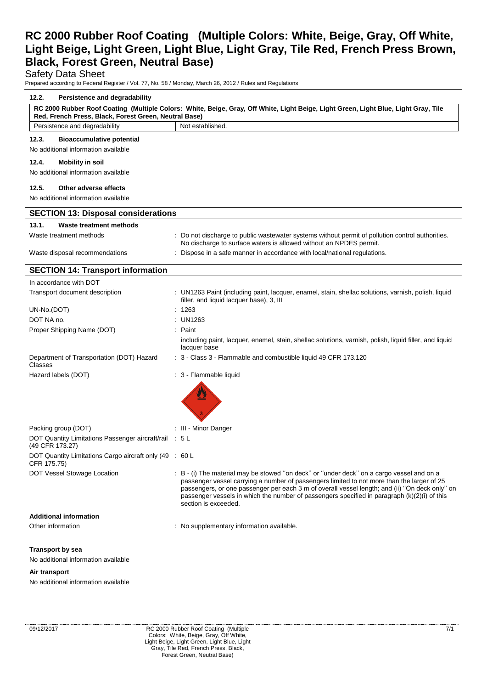## Safety Data Sheet

Prepared according to Federal Register / Vol. 77, No. 58 / Monday, March 26, 2012 / Rules and Regulations

| 12.2.<br>Persistence and degradability                                                                                                                                                       |                                                                                                                                                                                                                                                                                                                                                                                                                   |  |  |  |
|----------------------------------------------------------------------------------------------------------------------------------------------------------------------------------------------|-------------------------------------------------------------------------------------------------------------------------------------------------------------------------------------------------------------------------------------------------------------------------------------------------------------------------------------------------------------------------------------------------------------------|--|--|--|
| RC 2000 Rubber Roof Coating (Multiple Colors: White, Beige, Gray, Off White, Light Beige, Light Green, Light Blue, Light Gray, Tile<br>Red, French Press, Black, Forest Green, Neutral Base) |                                                                                                                                                                                                                                                                                                                                                                                                                   |  |  |  |
| Persistence and degradability                                                                                                                                                                | Not established.                                                                                                                                                                                                                                                                                                                                                                                                  |  |  |  |
| 12.3.<br><b>Bioaccumulative potential</b><br>No additional information available                                                                                                             |                                                                                                                                                                                                                                                                                                                                                                                                                   |  |  |  |
| 12.4.<br><b>Mobility in soil</b>                                                                                                                                                             |                                                                                                                                                                                                                                                                                                                                                                                                                   |  |  |  |
| No additional information available                                                                                                                                                          |                                                                                                                                                                                                                                                                                                                                                                                                                   |  |  |  |
| 12.5.<br>Other adverse effects                                                                                                                                                               |                                                                                                                                                                                                                                                                                                                                                                                                                   |  |  |  |
| No additional information available                                                                                                                                                          |                                                                                                                                                                                                                                                                                                                                                                                                                   |  |  |  |
| <b>SECTION 13: Disposal considerations</b>                                                                                                                                                   |                                                                                                                                                                                                                                                                                                                                                                                                                   |  |  |  |
| 13.1.<br>Waste treatment methods                                                                                                                                                             |                                                                                                                                                                                                                                                                                                                                                                                                                   |  |  |  |
| Waste treatment methods                                                                                                                                                                      | : Do not discharge to public wastewater systems without permit of pollution control authorities.<br>No discharge to surface waters is allowed without an NPDES permit.                                                                                                                                                                                                                                            |  |  |  |
| Waste disposal recommendations                                                                                                                                                               | Dispose in a safe manner in accordance with local/national regulations.                                                                                                                                                                                                                                                                                                                                           |  |  |  |
| <b>SECTION 14: Transport information</b>                                                                                                                                                     |                                                                                                                                                                                                                                                                                                                                                                                                                   |  |  |  |
| In accordance with DOT                                                                                                                                                                       |                                                                                                                                                                                                                                                                                                                                                                                                                   |  |  |  |
| Transport document description                                                                                                                                                               | : UN1263 Paint (including paint, lacquer, enamel, stain, shellac solutions, varnish, polish, liquid<br>filler, and liquid lacquer base), 3, III                                                                                                                                                                                                                                                                   |  |  |  |
| UN-No.(DOT)                                                                                                                                                                                  | 1263                                                                                                                                                                                                                                                                                                                                                                                                              |  |  |  |
| DOT NA no.                                                                                                                                                                                   | : $UN1263$                                                                                                                                                                                                                                                                                                                                                                                                        |  |  |  |
| Proper Shipping Name (DOT)                                                                                                                                                                   | : Paint                                                                                                                                                                                                                                                                                                                                                                                                           |  |  |  |
|                                                                                                                                                                                              | including paint, lacquer, enamel, stain, shellac solutions, varnish, polish, liquid filler, and liquid<br>lacquer base                                                                                                                                                                                                                                                                                            |  |  |  |
| Department of Transportation (DOT) Hazard<br>Classes                                                                                                                                         | : 3 - Class 3 - Flammable and combustible liquid 49 CFR 173.120                                                                                                                                                                                                                                                                                                                                                   |  |  |  |
| Hazard labels (DOT)                                                                                                                                                                          | : 3 - Flammable liquid                                                                                                                                                                                                                                                                                                                                                                                            |  |  |  |
| Packing group (DOT)                                                                                                                                                                          | : III - Minor Danger                                                                                                                                                                                                                                                                                                                                                                                              |  |  |  |
| DOT Quantity Limitations Passenger aircraft/rail : 5 L<br>(49 CFR 173.27)                                                                                                                    |                                                                                                                                                                                                                                                                                                                                                                                                                   |  |  |  |
| DOT Quantity Limitations Cargo aircraft only (49 : 60 L<br>CFR 175.75)                                                                                                                       |                                                                                                                                                                                                                                                                                                                                                                                                                   |  |  |  |
| DOT Vessel Stowage Location                                                                                                                                                                  | : B - (i) The material may be stowed "on deck" or "under deck" on a cargo vessel and on a<br>passenger vessel carrying a number of passengers limited to not more than the larger of 25<br>passengers, or one passenger per each 3 m of overall vessel length; and (ii) "On deck only" on<br>passenger vessels in which the number of passengers specified in paragraph (k)(2)(i) of this<br>section is exceeded. |  |  |  |
| <b>Additional information</b>                                                                                                                                                                |                                                                                                                                                                                                                                                                                                                                                                                                                   |  |  |  |
| Other information                                                                                                                                                                            | : No supplementary information available.                                                                                                                                                                                                                                                                                                                                                                         |  |  |  |
|                                                                                                                                                                                              |                                                                                                                                                                                                                                                                                                                                                                                                                   |  |  |  |
| <b>Transport by sea</b>                                                                                                                                                                      |                                                                                                                                                                                                                                                                                                                                                                                                                   |  |  |  |
| No additional information available                                                                                                                                                          |                                                                                                                                                                                                                                                                                                                                                                                                                   |  |  |  |
| Air transport                                                                                                                                                                                |                                                                                                                                                                                                                                                                                                                                                                                                                   |  |  |  |
| No additional information available                                                                                                                                                          |                                                                                                                                                                                                                                                                                                                                                                                                                   |  |  |  |
|                                                                                                                                                                                              |                                                                                                                                                                                                                                                                                                                                                                                                                   |  |  |  |
|                                                                                                                                                                                              |                                                                                                                                                                                                                                                                                                                                                                                                                   |  |  |  |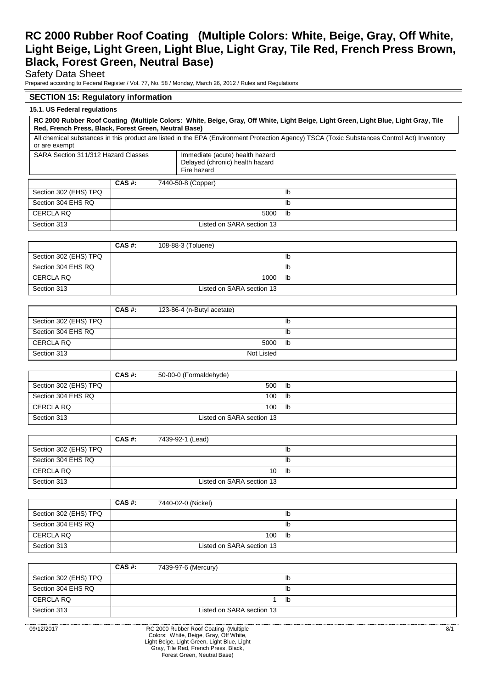Safety Data Sheet

Prepared according to Federal Register / Vol. 77, No. 58 / Monday, March 26, 2012 / Rules and Regulations

# **SECTION 15: Regulatory information**

## **15.1. US Federal regulations**

|                                                                                                                          | RC 2000 Rubber Roof Coating (Multiple Colors: White, Beige, Gray, Off White, Light Beige, Light Green, Light Blue, Light Gray, Tile<br>Red, French Press, Black, Forest Green, Neutral Base) |                           |                                                                                                                                             |  |
|--------------------------------------------------------------------------------------------------------------------------|----------------------------------------------------------------------------------------------------------------------------------------------------------------------------------------------|---------------------------|---------------------------------------------------------------------------------------------------------------------------------------------|--|
| or are exempt                                                                                                            |                                                                                                                                                                                              |                           | All chemical substances in this product are listed in the EPA (Environment Protection Agency) TSCA (Toxic Substances Control Act) Inventory |  |
| SARA Section 311/312 Hazard Classes<br>Immediate (acute) health hazard<br>Delayed (chronic) health hazard<br>Fire hazard |                                                                                                                                                                                              |                           |                                                                                                                                             |  |
|                                                                                                                          | CAS #:                                                                                                                                                                                       | 7440-50-8 (Copper)        |                                                                                                                                             |  |
| Section 302 (EHS) TPQ                                                                                                    |                                                                                                                                                                                              |                           | lb                                                                                                                                          |  |
| Section 304 EHS RQ                                                                                                       |                                                                                                                                                                                              |                           | lb                                                                                                                                          |  |
| <b>CERCLA RQ</b>                                                                                                         |                                                                                                                                                                                              | 5000                      | lb                                                                                                                                          |  |
| Section 313                                                                                                              |                                                                                                                                                                                              | Listed on SARA section 13 |                                                                                                                                             |  |

|                       | CAS#: | 108-88-3 (Toluene)        |    |
|-----------------------|-------|---------------------------|----|
| Section 302 (EHS) TPQ |       |                           | ID |
| Section 304 EHS RQ    |       |                           | ID |
| CERCLA RQ             |       | 1000                      | lb |
| Section 313           |       | Listed on SARA section 13 |    |

|                       | CAS#: | 123-86-4 (n-Butyl acetate) |    |
|-----------------------|-------|----------------------------|----|
| Section 302 (EHS) TPQ |       |                            | lb |
| Section 304 EHS RQ    |       |                            | lb |
| CERCLA RQ             |       | 5000                       | lb |
| Section 313           |       | Not Listed                 |    |

|                       | $CAS$ #: | 50-00-0 (Formaldehyde)    |    |
|-----------------------|----------|---------------------------|----|
| Section 302 (EHS) TPQ |          | 500                       | lb |
| Section 304 EHS RQ    |          | 100                       | lb |
| CERCLA RQ             |          | 100                       | lb |
| Section 313           |          | Listed on SARA section 13 |    |

|                       | CAS#: | 7439-92-1 (Lead)          |    |
|-----------------------|-------|---------------------------|----|
| Section 302 (EHS) TPQ |       |                           | lb |
| Section 304 EHS RQ    |       |                           | lb |
| CERCLA RQ             |       | 10                        | lb |
| Section 313           |       | Listed on SARA section 13 |    |

|                       | $CAS$ #: | 7440-02-0 (Nickel)        |    |
|-----------------------|----------|---------------------------|----|
| Section 302 (EHS) TPQ |          |                           | lb |
| Section 304 EHS RQ    |          |                           | lb |
| CERCLA RQ             |          | 100                       | lb |
| Section 313           |          | Listed on SARA section 13 |    |

|                       | CAS#: | 7439-97-6 (Mercury)       |    |
|-----------------------|-------|---------------------------|----|
| Section 302 (EHS) TPQ |       |                           | ıb |
| Section 304 EHS RQ    |       |                           | Ib |
| CERCLA RQ             |       |                           | lb |
| Section 313           |       | Listed on SARA section 13 |    |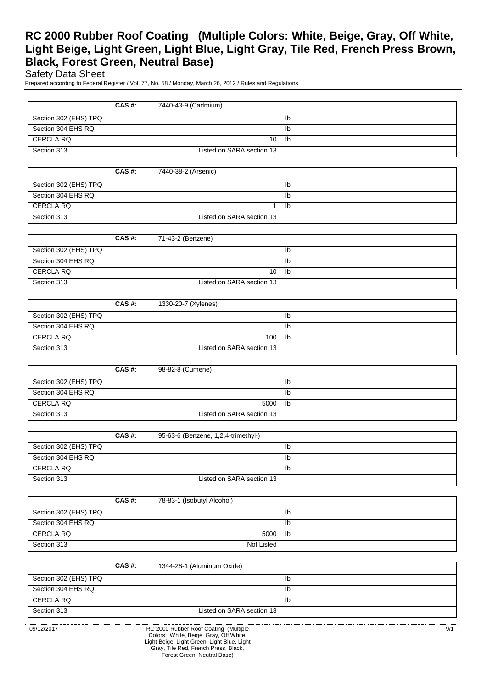Safety Data Sheet

Prepared according to Federal Register / Vol. 77, No. 58 / Monday, March 26, 2012 / Rules and Regulations

|                       | CAS#: | 7440-43-9 (Cadmium)       |    |
|-----------------------|-------|---------------------------|----|
| Section 302 (EHS) TPQ |       |                           | lb |
| Section 304 EHS RQ    |       |                           | lb |
| CERCLA RQ             |       | 10                        | lb |
| Section 313           |       | Listed on SARA section 13 |    |

|                       | CAS#: | 7440-38-2 (Arsenic)       |    |
|-----------------------|-------|---------------------------|----|
| Section 302 (EHS) TPQ |       |                           | lb |
| Section 304 EHS RQ    |       |                           | lb |
| CERCLA RQ             |       |                           | lb |
| Section 313           |       | Listed on SARA section 13 |    |

|                       | CAS#: | 71-43-2 (Benzene)         |    |
|-----------------------|-------|---------------------------|----|
| Section 302 (EHS) TPQ |       |                           | Ib |
| Section 304 EHS RQ    |       |                           | lb |
| CERCLA RQ             |       | 10                        | lb |
| Section 313           |       | Listed on SARA section 13 |    |

|                       | $CAS$ #: | 1330-20-7 (Xylenes)       |    |
|-----------------------|----------|---------------------------|----|
| Section 302 (EHS) TPQ |          |                           | lb |
| Section 304 EHS RQ    |          |                           | lb |
| CERCLA RQ             |          | 100                       | lb |
| Section 313           |          | Listed on SARA section 13 |    |

|                       | CAS#: | 98-82-8 (Cumene)          |    |
|-----------------------|-------|---------------------------|----|
| Section 302 (EHS) TPQ |       |                           | lb |
| Section 304 EHS RQ    |       |                           | lb |
| CERCLA RQ             |       | 5000                      | lb |
| Section 313           |       | Listed on SARA section 13 |    |

|                       | CAS #: | 95-63-6 (Benzene, 1,2,4-trimethyl-) |
|-----------------------|--------|-------------------------------------|
| Section 302 (EHS) TPQ |        | lb                                  |
| Section 304 EHS RQ    |        | lb                                  |
| CERCLA RQ             |        | lb                                  |
| Section 313           |        | Listed on SARA section 13           |

|                       | CAS#: | 78-83-1 (Isobutyl Alcohol) |    |
|-----------------------|-------|----------------------------|----|
| Section 302 (EHS) TPQ |       |                            | lb |
| Section 304 EHS RQ    |       |                            | lb |
| CERCLA RQ             |       | 5000                       | lb |
| Section 313           |       | Not Listed                 |    |

|                       | CAS#: | 1344-28-1 (Aluminum Oxide) |    |
|-----------------------|-------|----------------------------|----|
| Section 302 (EHS) TPQ |       |                            |    |
| Section 304 EHS RQ    |       |                            | ıb |
| CERCLA RQ             |       |                            | ıb |
| Section 313           |       | Listed on SARA section 13  |    |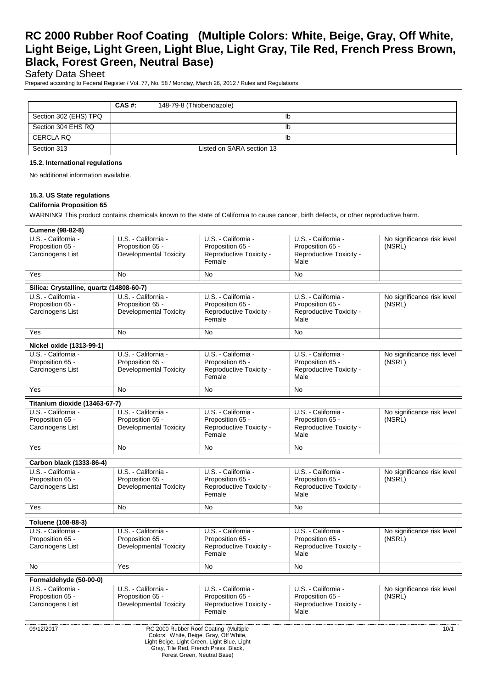Safety Data Sheet

Prepared according to Federal Register / Vol. 77, No. 58 / Monday, March 26, 2012 / Rules and Regulations

|                       | CAS#: | 148-79-8 (Thiobendazole)  |
|-----------------------|-------|---------------------------|
| Section 302 (EHS) TPQ |       | Ib                        |
| Section 304 EHS RQ    |       | Ib                        |
| CERCLA RQ             |       | Ib                        |
| Section 313           |       | Listed on SARA section 13 |

#### **15.2. International regulations**

No additional information available.

#### **15.3. US State regulations**

#### **California Proposition 65**

WARNING! This product contains chemicals known to the state of California to cause cancer, birth defects, or other reproductive harm.

| <b>Cumene (98-82-8)</b>                                                                       |                                                                          |                                                                              |                                                                            |                                      |  |
|-----------------------------------------------------------------------------------------------|--------------------------------------------------------------------------|------------------------------------------------------------------------------|----------------------------------------------------------------------------|--------------------------------------|--|
| U.S. - California -<br>Proposition 65 -<br>Carcinogens List                                   | U.S. - California -<br>Proposition 65 -<br>Developmental Toxicity        | U.S. - California -<br>Proposition 65 -<br>Reproductive Toxicity -<br>Female | U.S. - California -<br>Proposition 65 -<br>Reproductive Toxicity -<br>Male | No significance risk level<br>(NSRL) |  |
| Yes                                                                                           | <b>No</b>                                                                | No                                                                           | $\overline{N}$                                                             |                                      |  |
|                                                                                               |                                                                          |                                                                              |                                                                            |                                      |  |
| Silica: Crystalline, quartz (14808-60-7)                                                      |                                                                          |                                                                              |                                                                            |                                      |  |
| U.S. California -<br>Proposition 65 -<br>Carcinogens List                                     | U.S. California<br>Proposition 65 -<br><b>Developmental Toxicity</b>     | U.S. - California -<br>Proposition 65 -<br>Reproductive Toxicity -<br>Female | U.S. California -<br>Proposition 65 -<br>Reproductive Toxicity -<br>Male   | No significance risk level<br>(NSRL) |  |
| Yes                                                                                           | <b>No</b>                                                                | No                                                                           | <b>No</b>                                                                  |                                      |  |
| Nickel oxide (1313-99-1)                                                                      |                                                                          |                                                                              |                                                                            |                                      |  |
| U.S. - California -<br>Proposition 65 -<br>Carcinogens List                                   | U.S. - California -<br>Proposition 65 -<br><b>Developmental Toxicity</b> | U.S. - California -<br>Proposition 65 -<br>Reproductive Toxicity -<br>Female | U.S. - California -<br>Proposition 65 -<br>Reproductive Toxicity -<br>Male | No significance risk level<br>(NSRL) |  |
| Yes                                                                                           | <b>No</b>                                                                | <b>No</b>                                                                    | <b>No</b>                                                                  |                                      |  |
| Titanium dioxide (13463-67-7)                                                                 |                                                                          |                                                                              |                                                                            |                                      |  |
| U.S. - California -<br>Proposition 65 -<br>Carcinogens List                                   | U.S. - California -<br>Proposition 65 -<br><b>Developmental Toxicity</b> | U.S. - California -<br>Proposition 65 -<br>Reproductive Toxicity -<br>Female | U.S. - California -<br>Proposition 65 -<br>Reproductive Toxicity -<br>Male | No significance risk level<br>(NSRL) |  |
| Yes                                                                                           | No                                                                       | No                                                                           | <b>No</b>                                                                  |                                      |  |
| Carbon black (1333-86-4)                                                                      |                                                                          |                                                                              |                                                                            |                                      |  |
| U.S. - California -<br>Proposition 65 -<br>Carcinogens List                                   | U.S. - California -<br>Proposition 65 -<br><b>Developmental Toxicity</b> | U.S. - California -<br>Proposition 65 -<br>Reproductive Toxicity -<br>Female | U.S. - California -<br>Proposition 65 -<br>Reproductive Toxicity -<br>Male | No significance risk level<br>(NSRL) |  |
| Yes                                                                                           | <b>No</b>                                                                | <b>No</b>                                                                    | <b>No</b>                                                                  |                                      |  |
| Toluene (108-88-3)                                                                            |                                                                          |                                                                              |                                                                            |                                      |  |
| U.S. - California -<br>Proposition 65 -<br>Carcinogens List                                   | U.S. - California -<br>Proposition 65 -<br><b>Developmental Toxicity</b> | U.S. - California -<br>Proposition 65 -<br>Reproductive Toxicity -<br>Female | U.S. - California -<br>Proposition 65 -<br>Reproductive Toxicity -<br>Male | No significance risk level<br>(NSRL) |  |
| <b>No</b>                                                                                     | Yes                                                                      | <b>No</b>                                                                    | <b>No</b>                                                                  |                                      |  |
| Formaldehyde (50-00-0)                                                                        |                                                                          |                                                                              |                                                                            |                                      |  |
| U.S. California -<br>Proposition 65 -<br>Carcinogens List                                     | U.S. - California -<br>Proposition 65 -<br>Developmental Toxicity        | U.S. - California -<br>Proposition 65 -<br>Reproductive Toxicity -<br>Female | U.S. - California -<br>Proposition 65 -<br>Reproductive Toxicity -<br>Male | No significance risk level<br>(NSRL) |  |
| 09/12/2017<br>RC 2000 Rubber Roof Coating (Multiple<br>Colors: White, Beige, Gray, Off White, |                                                                          |                                                                              |                                                                            | 10/1                                 |  |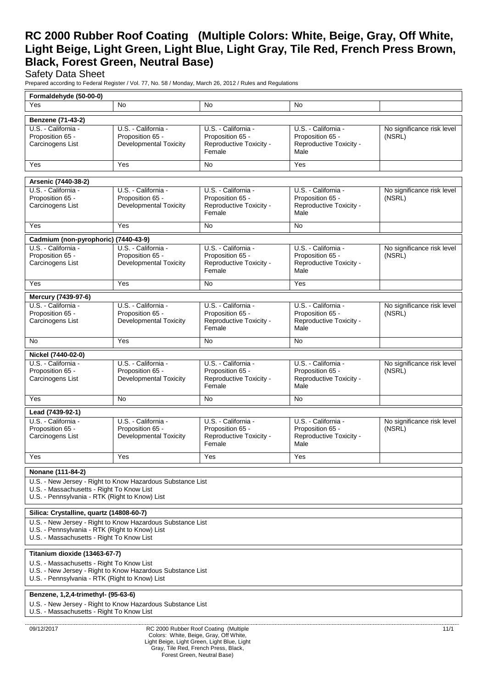# Safety Data Sheet

Prepared according to Federal Register / Vol. 77, No. 58 / Monday, March 26, 2012 / Rules and Regulations

| Formaldehyde (50-00-0)                                                                                                                                    |                                                                          |                                                                                                                                |                                                                            |                                      |
|-----------------------------------------------------------------------------------------------------------------------------------------------------------|--------------------------------------------------------------------------|--------------------------------------------------------------------------------------------------------------------------------|----------------------------------------------------------------------------|--------------------------------------|
| Yes                                                                                                                                                       | No                                                                       | <b>No</b>                                                                                                                      | No                                                                         |                                      |
| Benzene (71-43-2)                                                                                                                                         |                                                                          |                                                                                                                                |                                                                            |                                      |
| U.S. California<br>Proposition 65 -<br>Carcinogens List                                                                                                   | U.S. - California -<br>Proposition 65 -<br><b>Developmental Toxicity</b> | U.S. - California -<br>Proposition 65 -<br>Reproductive Toxicity -<br>Female                                                   | U.S. - California -<br>Proposition 65 -<br>Reproductive Toxicity -<br>Male | No significance risk level<br>(NSRL) |
| Yes                                                                                                                                                       | Yes                                                                      | No                                                                                                                             | Yes                                                                        |                                      |
|                                                                                                                                                           |                                                                          |                                                                                                                                |                                                                            |                                      |
| Arsenic (7440-38-2)<br>U.S. California -                                                                                                                  | U.S. - California -                                                      | U.S. - California -                                                                                                            | U.S. - California -                                                        | No significance risk level           |
| Proposition 65 -<br>Carcinogens List                                                                                                                      | Proposition 65 -<br><b>Developmental Toxicity</b>                        | Proposition 65 -<br>Reproductive Toxicity -<br>Female                                                                          | Proposition 65 -<br>Reproductive Toxicity -<br>Male                        | (NSRL)                               |
| Yes                                                                                                                                                       | Yes                                                                      | <b>No</b>                                                                                                                      | No                                                                         |                                      |
| Cadmium (non-pyrophoric) (7440-43-9)                                                                                                                      |                                                                          |                                                                                                                                |                                                                            |                                      |
| U.S. California -<br>Proposition 65 -<br>Carcinogens List                                                                                                 | U.S. - California -<br>Proposition 65 -<br><b>Developmental Toxicity</b> | U.S. - California -<br>Proposition 65 -<br>Reproductive Toxicity -<br>Female                                                   | U.S. - California -<br>Proposition 65 -<br>Reproductive Toxicity -<br>Male | No significance risk level<br>(NSRL) |
| Yes                                                                                                                                                       | Yes                                                                      | <b>No</b>                                                                                                                      | Yes                                                                        |                                      |
| Mercury (7439-97-6)                                                                                                                                       |                                                                          |                                                                                                                                |                                                                            |                                      |
| U.S. California<br>Proposition 65 -<br>Carcinogens List                                                                                                   | U.S. - California -<br>Proposition 65 -<br><b>Developmental Toxicity</b> | U.S. - California -<br>Proposition 65 -<br>Reproductive Toxicity -<br>Female                                                   | U.S. - California -<br>Proposition 65 -<br>Reproductive Toxicity -<br>Male | No significance risk level<br>(NSRL) |
| No                                                                                                                                                        | Yes                                                                      | No                                                                                                                             | No                                                                         |                                      |
| Nickel (7440-02-0)                                                                                                                                        |                                                                          |                                                                                                                                |                                                                            |                                      |
| U.S. California -<br>Proposition 65 -<br>Carcinogens List                                                                                                 | U.S. - California -<br>Proposition 65 -<br><b>Developmental Toxicity</b> | U.S. - California -<br>Proposition 65 -<br>Reproductive Toxicity -<br>Female                                                   | U.S. - California -<br>Proposition 65 -<br>Reproductive Toxicity -<br>Male | No significance risk level<br>(NSRL) |
| Yes                                                                                                                                                       | No                                                                       | No                                                                                                                             | No                                                                         |                                      |
| Lead (7439-92-1)                                                                                                                                          |                                                                          |                                                                                                                                |                                                                            |                                      |
| U.S. California -<br>Proposition 65 -<br>Carcinogens List                                                                                                 | U.S. - California -<br>Proposition 65 -<br>Developmental Toxicity        | U.S. - California -<br>Proposition 65 -<br>Reproductive Toxicity -<br>Female                                                   | U.S. - California -<br>Proposition 65 -<br>Reproductive Toxicity -<br>Male | No significance risk level<br>(NSRL) |
| Yes                                                                                                                                                       | Yes                                                                      | Yes                                                                                                                            | Yes                                                                        |                                      |
| Nonane (111-84-2)                                                                                                                                         |                                                                          |                                                                                                                                |                                                                            |                                      |
| U.S. - New Jersey - Right to Know Hazardous Substance List<br>U.S. - Massachusetts - Right To Know List<br>U.S. - Pennsylvania - RTK (Right to Know) List |                                                                          |                                                                                                                                |                                                                            |                                      |
| Silica: Crystalline, quartz (14808-60-7)                                                                                                                  |                                                                          |                                                                                                                                |                                                                            |                                      |
| U.S. - New Jersey - Right to Know Hazardous Substance List<br>U.S. - Pennsylvania - RTK (Right to Know) List<br>U.S. - Massachusetts - Right To Know List |                                                                          |                                                                                                                                |                                                                            |                                      |
| Titanium dioxide (13463-67-7)                                                                                                                             |                                                                          |                                                                                                                                |                                                                            |                                      |
| U.S. - Massachusetts - Right To Know List<br>U.S. - New Jersey - Right to Know Hazardous Substance List<br>U.S. - Pennsylvania - RTK (Right to Know) List |                                                                          |                                                                                                                                |                                                                            |                                      |
| Benzene, 1,2,4-trimethyl- (95-63-6)                                                                                                                       |                                                                          |                                                                                                                                |                                                                            |                                      |
| U.S. - New Jersey - Right to Know Hazardous Substance List<br>U.S. - Massachusetts - Right To Know List                                                   |                                                                          |                                                                                                                                |                                                                            |                                      |
| 09/12/2017                                                                                                                                                | Gray, Tile Red, French Press, Black,                                     | RC 2000 Rubber Roof Coating (Multiple<br>Colors: White, Beige, Gray, Off White,<br>Light Beige, Light Green, Light Blue, Light |                                                                            | 11/1                                 |